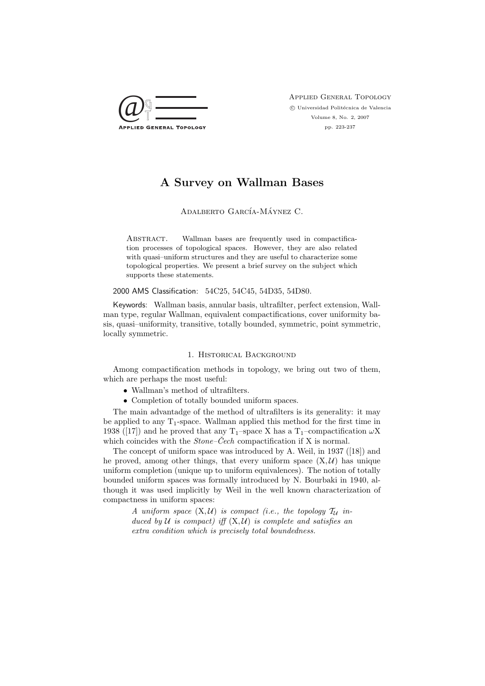

Applied General Topology  $\odot$  Universidad Politécnica de Valencia Volume 8, No. 2, 2007 pp. 223-237

# A Survey on Wallman Bases

## ADALBERTO GARCÍA-MÁYNEZ C.

ABSTRACT. Wallman bases are frequently used in compactification processes of topological spaces. However, they are also related with quasi–uniform structures and they are useful to characterize some topological properties. We present a brief survey on the subject which supports these statements.

### 2000 AMS Classification: 54C25, 54C45, 54D35, 54D80.

Keywords: Wallman basis, annular basis, ultrafilter, perfect extension, Wallman type, regular Wallman, equivalent compactifications, cover uniformity basis, quasi–uniformity, transitive, totally bounded, symmetric, point symmetric, locally symmetric.

### 1. Historical Background

Among compactification methods in topology, we bring out two of them, which are perhaps the most useful:

- Wallman's method of ultrafilters.
- Completion of totally bounded uniform spaces.

The main advantadge of the method of ultrafilters is its generality: it may be applied to any  $T_1$ -space. Wallman applied this method for the first time in 1938 ([17]) and he proved that any T<sub>1</sub>–space X has a T<sub>1</sub>–compactification  $\omega$ X which coincides with the  $Stone-Čech$  compactification if X is normal.

The concept of uniform space was introduced by A. Weil, in 1937 ([18]) and he proved, among other things, that every uniform space  $(X, \mathcal{U})$  has unique uniform completion (unique up to uniform equivalences). The notion of totally bounded uniform spaces was formally introduced by N. Bourbaki in 1940, although it was used implicitly by Weil in the well known characterization of compactness in uniform spaces:

> A uniform space  $(X, \mathcal{U})$  is compact (i.e., the topology  $\mathcal{T}_{\mathcal{U}}$  induced by  $U$  is compact) iff  $(X, U)$  is complete and satisfies an extra condition which is precisely total boundedness.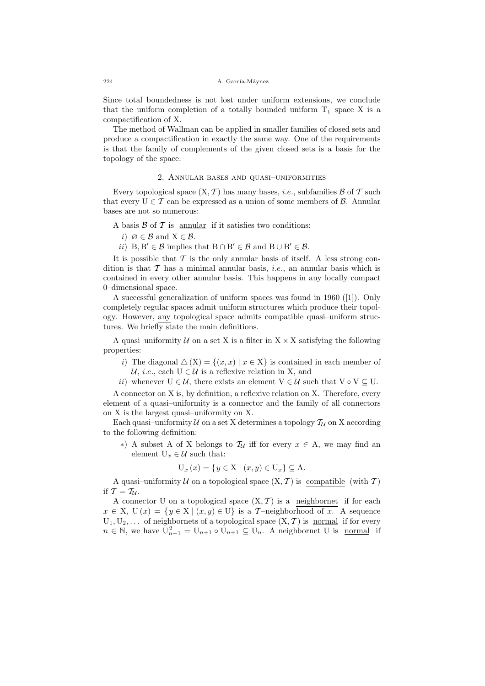Since total boundedness is not lost under uniform extensions, we conclude that the uniform completion of a totally bounded uniform  $T_1$ –space X is a compactification of X.

The method of Wallman can be applied in smaller families of closed sets and produce a compactification in exactly the same way. One of the requirements is that the family of complements of the given closed sets is a basis for the topology of the space.

### 2. Annular bases and quasi–uniformities

Every topological space  $(X, \mathcal{T})$  has many bases, *i.e.*, subfamilies  $\mathcal{B}$  of  $\mathcal{T}$  such that every  $U \in \mathcal{T}$  can be expressed as a union of some members of  $\mathcal{B}$ . Annular bases are not so numerous:

A basis  $\beta$  of  $\mathcal T$  is annular if it satisfies two conditions:

- i)  $\varnothing \in \mathcal{B}$  and  $X \in \mathcal{B}$ .
- *ii*)  $B, B' \in \mathcal{B}$  implies that  $B \cap B' \in \mathcal{B}$  and  $B \cup B' \in \mathcal{B}$ .

It is possible that  $\mathcal T$  is the only annular basis of itself. A less strong condition is that  $\mathcal T$  has a minimal annular basis, *i.e.*, an annular basis which is contained in every other annular basis. This happens in any locally compact 0–dimensional space.

A successful generalization of uniform spaces was found in 1960 ([1]). Only completely regular spaces admit uniform structures which produce their topology. However, any topological space admits compatible quasi–uniform structures. We briefly state the main definitions.

A quasi-uniformity  $U$  on a set X is a filter in  $X \times X$  satisfying the following properties:

- i) The diagonal  $\Delta(X) = \{(x, x) | x \in X\}$  is contained in each member of U, *i.e.*, each  $U \in \mathcal{U}$  is a reflexive relation in X, and
- ii) whenever  $U \in \mathcal{U}$ , there exists an element  $V \in \mathcal{U}$  such that  $V \circ V \subseteq U$ .

A connector on X is, by definition, a reflexive relation on X. Therefore, every element of a quasi–uniformity is a connector and the family of all connectors on X is the largest quasi–uniformity on X.

Each quasi-uniformity  $U$  on a set X determines a topology  $\mathcal{T}_U$  on X according to the following definition:

∗) A subset A of X belongs to  $\mathcal{T}_\mathcal{U}$  iff for every  $x \in A$ , we may find an element  $U_x \in \mathcal{U}$  such that:

$$
U_x(x) = \{ y \in X \mid (x, y) \in U_x \} \subseteq A.
$$

A quasi-uniformity  $U$  on a topological space  $(X, \mathcal{T})$  is compatible (with  $\mathcal{T}$ ) if  $\mathcal{T} = \mathcal{T}_{\mathcal{U}}$ .

A connector U on a topological space  $(X, \mathcal{T})$  is a neighbornet if for each  $x \in X$ ,  $U(x) = \{y \in X \mid (x, y) \in U\}$  is a T-neighborhood of x. A sequence  $U_1, U_2, \ldots$  of neighbornets of a topological space  $(X, \mathcal{T})$  is normal if for every  $n \in \mathbb{N}$ , we have  $\mathbf{U}_{n+1}^2 = \mathbf{U}_{n+1} \circ \mathbf{U}_{n+1} \subseteq \mathbf{U}_n$ . A neighbornet U is <u>normal</u> if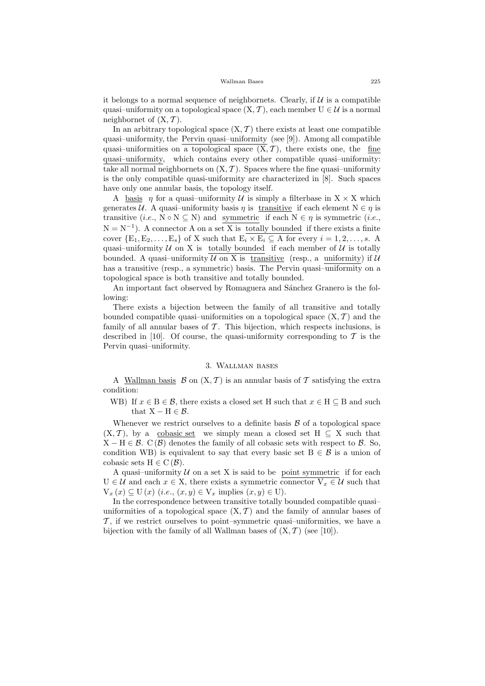it belongs to a normal sequence of neighbornets. Clearly, if  $U$  is a compatible quasi–uniformity on a topological space  $(X, \mathcal{T})$ , each member  $U \in \mathcal{U}$  is a normal neighbornet of  $(X, \mathcal{T})$ .

In an arbitrary topological space  $(X, \mathcal{T})$  there exists at least one compatible quasi–uniformity, the Pervin quasi–uniformity (see [9]). Among all compatible quasi–uniformities on a topological space  $(\overline{X}, \mathcal{T})$ , there exists one, the fine quasi–uniformity, which contains every other compatible quasi–uniformity: take all normal neighbornets on  $(X, \mathcal{T})$ . Spaces where the fine quasi-uniformity is the only compatible quasi-uniformity are characterized in [8]. Such spaces have only one annular basis, the topology itself.

A basis  $\eta$  for a quasi-uniformity U is simply a filterbase in  $X \times X$  which generates U. A quasi–uniformity basis  $\eta$  is transitive if each element  $N \in \eta$  is transitive (*i.e.*,  $N \circ N \subseteq N$ ) and symmetric if each  $N \in \eta$  is symmetric (*i.e.*,  $N = N^{-1}$ ). A connector A on a set X is totally bounded if there exists a finite cover  $\{E_1, E_2, \ldots, E_s\}$  of X such that  $E_i \times E_i \subseteq A$  for every  $i = 1, 2, \ldots, s$ . A quasi-uniformity  $U$  on X is totally bounded if each member of  $U$  is totally bounded. A quasi-uniformity  $U$  on X is transitive (resp., a uniformity) if  $U$ has a transitive (resp., a symmetric) basis. The Pervin quasi-uniformity on a topological space is both transitive and totally bounded.

An important fact observed by Romaguera and Sánchez Granero is the following:

There exists a bijection between the family of all transitive and totally bounded compatible quasi-uniformities on a topological space  $(X, \mathcal{T})$  and the family of all annular bases of  $\mathcal T$ . This bijection, which respects inclusions, is described in [10]. Of course, the quasi-uniformity corresponding to  $\mathcal T$  is the Pervin quasi–uniformity.

### 3. Wallman bases

A Wallman basis  $\mathcal B$  on  $(X, \mathcal T)$  is an annular basis of  $\mathcal T$  satisfying the extra condition:

WB) If  $x \in B \in \mathcal{B}$ , there exists a closed set H such that  $x \in H \subseteq B$  and such that  $X - H \in \mathcal{B}$ .

Whenever we restrict ourselves to a definite basis  $\beta$  of a topological space  $(X, \mathcal{T})$ , by a cobasic set we simply mean a closed set  $H \subseteq X$  such that  $X - H \in \mathcal{B}$ . C( $\mathcal{B}$ ) denotes the family of all cobasic sets with respect to  $\mathcal{B}$ . So, condition WB) is equivalent to say that every basic set  $B \in \mathcal{B}$  is a union of cobasic sets  $H \in C(\mathcal{B})$ .

A quasi-uniformity  $U$  on a set X is said to be point symmetric if for each  $U \in \mathcal{U}$  and each  $x \in X$ , there exists a symmetric connector  $V_x \in \mathcal{U}$  such that  $V_x(x) \subseteq U(x)$  (i.e.,  $(x, y) \in V_x$  implies  $(x, y) \in U$ ).

In the correspondence between transitive totally bounded compatible quasi– uniformities of a topological space  $(X, \mathcal{T})$  and the family of annular bases of  $\mathcal{T}$ , if we restrict ourselves to point–symmetric quasi–uniformities, we have a bijection with the family of all Wallman bases of  $(X, \mathcal{T})$  (see [10]).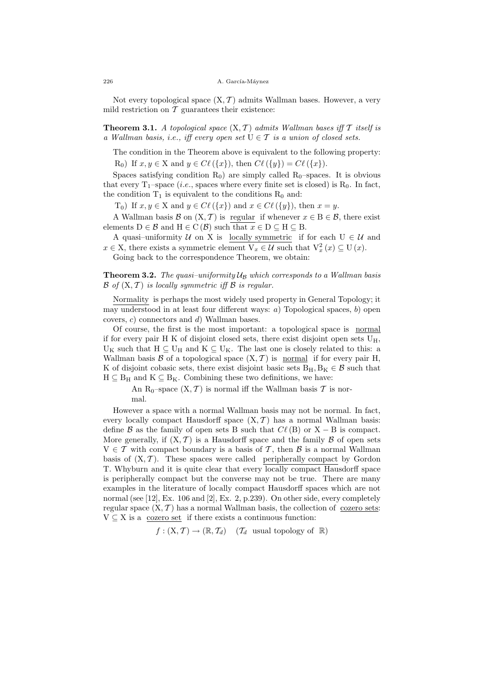Not every topological space  $(X, \mathcal{T})$  admits Wallman bases. However, a very mild restriction on  $\mathcal T$  guarantees their existence:

**Theorem 3.1.** A topological space  $(X, \mathcal{T})$  admits Wallman bases iff  $\mathcal{T}$  itself is a Wallman basis, i.e., iff every open set  $U \in \mathcal{T}$  is a union of closed sets.

The condition in the Theorem above is equivalent to the following property:

 $R_0$ ) If  $x, y \in X$  and  $y \in C\ell(\lbrace x \rbrace)$ , then  $C\ell(\lbrace y \rbrace) = C\ell(\lbrace x \rbrace)$ .

Spaces satisfying condition  $R_0$ ) are simply called  $R_0$ –spaces. It is obvious that every  $T_1$ –space (*i.e.*, spaces where every finite set is closed) is  $R_0$ . In fact, the condition  $T_1$  is equivalent to the conditions  $R_0$  and:

T<sub>0</sub>) If  $x, y \in X$  and  $y \in C\ell(\lbrace x \rbrace)$  and  $x \in C\ell(\lbrace y \rbrace)$ , then  $x = y$ .

A Wallman basis B on  $(X, \mathcal{T})$  is regular if whenever  $x \in B \in \mathcal{B}$ , there exist elements  $D \in \mathcal{B}$  and  $H \in C(\mathcal{B})$  such that  $x \in D \subseteq H \subseteq B$ .

A quasi–uniformity  $U$  on X is locally symmetric if for each  $U \in U$  and  $x \in X$ , there exists a symmetric element  $V_x \in \mathcal{U}$  such that  $V_x^2(x) \subseteq U(x)$ .

Going back to the correspondence Theorem, we obtain:

**Theorem 3.2.** The quasi-uniformity  $U_B$  which corresponds to a Wallman basis  $\mathcal{B}$  of  $(X, \mathcal{T})$  is locally symmetric iff  $\mathcal{B}$  is regular.

Normality is perhaps the most widely used property in General Topology; it may understood in at least four different ways:  $a$ ) Topological spaces,  $b$ ) open covers, c) connectors and d) Wallman bases.

Of course, the first is the most important: a topological space is normal if for every pair H K of disjoint closed sets, there exist disjoint open sets  $U_H$ ,  $U_K$  such that  $H \subseteq U_H$  and  $K \subseteq U_K$ . The last one is closely related to this: a Wallman basis B of a topological space  $(X, \mathcal{T})$  is normal if for every pair H, K of disjoint cobasic sets, there exist disjoint basic sets  $B_H, B_K \in \mathcal{B}$  such that  $H \subseteq B_H$  and  $K \subseteq B_K$ . Combining these two definitions, we have:

> An R<sub>0</sub>–space  $(X, \mathcal{T})$  is normal iff the Wallman basis  $\mathcal{T}$  is normal.

However a space with a normal Wallman basis may not be normal. In fact, every locally compact Hausdorff space  $(X, \mathcal{T})$  has a normal Wallman basis: define B as the family of open sets B such that  $C\ell$  (B) or X – B is compact. More generally, if  $(X, \mathcal{T})$  is a Hausdorff space and the family  $\mathcal B$  of open sets  $V \in \mathcal{T}$  with compact boundary is a basis of  $\mathcal{T}$ , then  $\mathcal{B}$  is a normal Wallman basis of  $(X, \mathcal{T})$ . These spaces were called peripherally compact by Gordon T. Whyburn and it is quite clear that every locally compact Hausdorff space is peripherally compact but the converse may not be true. There are many examples in the literature of locally compact Hausdorff spaces which are not normal (see [12], Ex. 106 and [2], Ex. 2, p.239). On other side, every completely regular space  $(X, \mathcal{T})$  has a normal Wallman basis, the collection of cozero sets:  $V \subseteq X$  is a cozero set if there exists a continuous function:

 $f: (X, \mathcal{T}) \to (\mathbb{R}, \mathcal{T}_d)$  ( $\mathcal{T}_d$  usual topology of  $\mathbb{R}$ )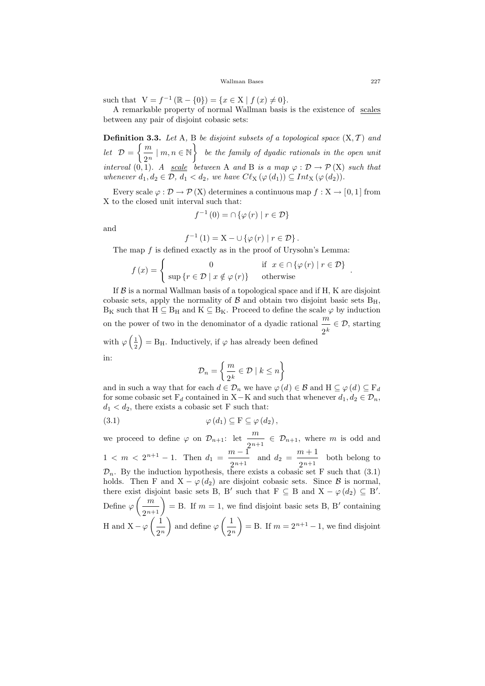such that  $V = f^{-1}(\mathbb{R} - \{0\}) = \{x \in X \mid f(x) \neq 0\}.$ 

A remarkable property of normal Wallman basis is the existence of scales between any pair of disjoint cobasic sets:

**Definition 3.3.** Let A, B be disjoint subsets of a topological space  $(X, \mathcal{T})$  and let  $\mathcal{D} =$  $\int$  m  $\frac{m}{2^n} \mid m, n \in \mathbb{N}$ be the family of dyadic rationals in the open unit interval  $(0, 1)$ . A scale between A and B is a map  $\varphi : \mathcal{D} \to \mathcal{P}(\mathbf{X})$  such that whenever  $d_1, d_2 \in \mathcal{D}$ ,  $d_1 < d_2$ , we have  $C\ell_{\rm X}(\varphi(d_1)) \subseteq Int_{\rm X}(\varphi(d_2)).$ 

Every scale  $\varphi : \mathcal{D} \to \mathcal{P}(X)$  determines a continuous map  $f : X \to [0,1]$  from X to the closed unit interval such that:

$$
f^{-1}(0) = \cap \{ \varphi(r) \mid r \in \mathcal{D} \}
$$

and

$$
f^{-1}(1) = X - \cup \{ \varphi(r) \mid r \in \mathcal{D} \}.
$$

The map  $f$  is defined exactly as in the proof of Urysohn's Lemma:

$$
f(x) = \begin{cases} 0 & \text{if } x \in \bigcap \{ \varphi(r) \mid r \in \mathcal{D} \} \\ \sup \{ r \in \mathcal{D} \mid x \notin \varphi(r) \} & \text{otherwise} \end{cases}
$$

If  $\beta$  is a normal Wallman basis of a topological space and if H, K are disjoint cobasic sets, apply the normality of  $\beta$  and obtain two disjoint basic sets  $B_H$ ,  $B_K$  such that  $H \subseteq B_H$  and  $K \subseteq B_K$ . Proceed to define the scale  $\varphi$  by induction on the power of two in the denominator of a dyadic rational  $\frac{m}{q}$  $\frac{m}{2^k} \in \mathcal{D}$ , starting with  $\varphi\left(\frac{1}{2}\right)$ 2  $= B_H$ . Inductively, if  $\varphi$  has already been defined

in:

$$
\mathcal{D}_n = \left\{ \frac{m}{2^k} \in \mathcal{D} \mid k \le n \right\}
$$

and in such a way that for each  $d \in \mathcal{D}_n$  we have  $\varphi(d) \in \mathcal{B}$  and  $H \subseteq \varphi(d) \subseteq F_d$ for some cobasic set  $F_d$  contained in X–K and such that whenever  $d_1, d_2 \in \mathcal{D}_n$ ,  $d_1 < d_2$ , there exists a cobasic set F such that:

$$
(3.1) \qquad \qquad \varphi(d_1) \subseteq F \subseteq \varphi(d_2),
$$

we proceed to define  $\varphi$  on  $\mathcal{D}_{n+1}$ : let  $\frac{m}{\sqrt{n}}$  $\frac{m}{2^{n+1}} \in \mathcal{D}_{n+1}$ , where m is odd and  $1 < m < 2^{n+1} - 1$ . Then  $d_1 = \frac{m-1}{2}$  $\frac{n-1}{2^{n+1}}$  and  $d_2 = \frac{m+1}{2^{n+1}}$  $\frac{n+1}{2^{n+1}}$  both belong to  $\mathcal{D}_n$ . By the induction hypothesis, there exists a cobasic set F such that (3.1) holds. Then F and  $X - \varphi(d_2)$  are disjoint cobasic sets. Since  $\beta$  is normal, there exist disjoint basic sets B, B' such that  $F \subseteq B$  and  $X - \varphi(d_2) \subseteq B'$ . Define  $\varphi$  $\left( m\right)$  $\left(\frac{m}{2^{n+1}}\right)$  = B. If  $m = 1$ , we find disjoint basic sets B, B' containing H and  $X - \varphi$  $(1)$  $2^n$  $\setminus$ and define  $\varphi$  $\begin{pmatrix} 1 \end{pmatrix}$  $2^n$  $=$  B. If  $m = 2^{n+1} - 1$ , we find disjoint

.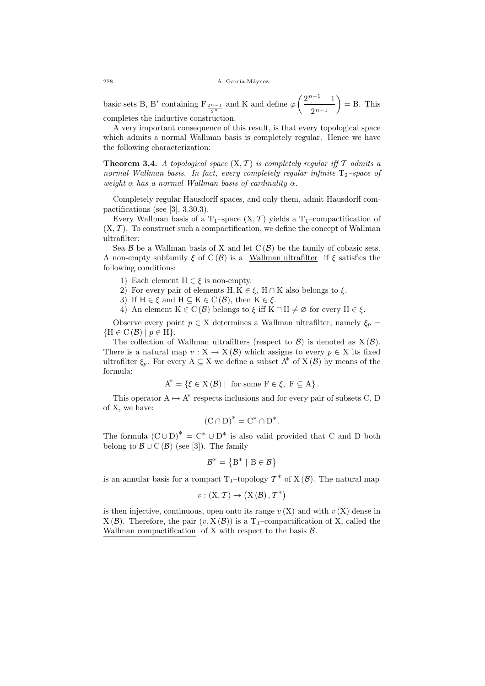basic sets B, B' containing  $F_{\frac{2^{n}-1}{2^{n}}}$  and K and define  $\varphi$  $(2^{n+1}-1)$  $\left(\frac{n+1}{2^{n+1}}\right) = B.$  This completes the inductive construction.

A very important consequence of this result, is that every topological space which admits a normal Wallman basis is completely regular. Hence we have the following characterization:

**Theorem 3.4.** A topological space  $(X, \mathcal{T})$  is completely regular iff  $\mathcal{T}$  admits a normal Wallman basis. In fact, every completely regular infinite  $T_2$ -space of weight  $\alpha$  has a normal Wallman basis of cardinality  $\alpha$ .

Completely regular Hausdorff spaces, and only them, admit Hausdorff compactifications (see [3], 3.30.3).

Every Wallman basis of a T<sub>1</sub>–space  $(X, \mathcal{T})$  yields a T<sub>1</sub>–compactification of  $(X, \mathcal{T})$ . To construct such a compactification, we define the concept of Wallman ultrafilter:

Sea  $\beta$  be a Wallman basis of X and let  $C(\beta)$  be the family of cobasic sets. A non-empty subfamily  $\xi$  of  $C(\mathcal{B})$  is a Wallman ultrafilter if  $\xi$  satisfies the following conditions:

- 1) Each element  $H \in \xi$  is non-empty.
- 2) For every pair of elements H,  $K \in \mathcal{E}$ , H ∩ K also belongs to  $\mathcal{E}$ .
- 3) If  $H \in \mathcal{E}$  and  $H \subseteq K \in C(\mathcal{B})$ , then  $K \in \mathcal{E}$ .

4) An element  $K \in C(\mathcal{B})$  belongs to  $\xi$  iff  $K \cap H \neq \emptyset$  for every  $H \in \xi$ .

Observe every point  $p \in X$  determines a Wallman ultrafilter, namely  $\xi_p =$  ${H \in C(\mathcal{B}) \mid p \in H}.$ 

The collection of Wallman ultrafilters (respect to  $\mathcal{B}$ ) is denoted as  $X(\mathcal{B})$ . There is a natural map  $v: X \to X(\mathcal{B})$  which assigns to every  $p \in X$  its fixed ultrafilter  $\xi_n$ . For every  $A \subseteq X$  we define a subset  $A^*$  of  $X(\mathcal{B})$  by means of the formula:

$$
A^* = \{ \xi \in X(\mathcal{B}) \mid \text{ for some } F \in \xi, F \subseteq A \}.
$$

This operator  $A \mapsto A^*$  respects inclusions and for every pair of subsets C, D of X, we have:

$$
(\mathcal{C} \cap \mathcal{D})^* = \mathcal{C}^* \cap \mathcal{D}^*.
$$

The formula  $(C \cup D)^* = C^* \cup D^*$  is also valid provided that C and D both belong to  $\mathcal{B} \cup C(\mathcal{B})$  (see [3]). The family

$$
\mathcal{B}^* = \{B^* \mid B \in \mathcal{B}\}
$$

is an annular basis for a compact T<sub>1</sub>-topology  $\mathcal{T}^*$  of X( $\mathcal{B}$ ). The natural map

$$
v: (\mathrm{X}, \mathcal{T}) \to (\mathrm{X}(\mathcal{B}), \mathcal{T}^*)
$$

is then injective, continuous, open onto its range  $v(X)$  and with  $v(X)$  dense in  $X(\mathcal{B})$ . Therefore, the pair  $(v, X(\mathcal{B}))$  is a T<sub>1</sub>-compactification of X, called the Wallman compactification of  $X$  with respect to the basis  $\mathcal{B}$ .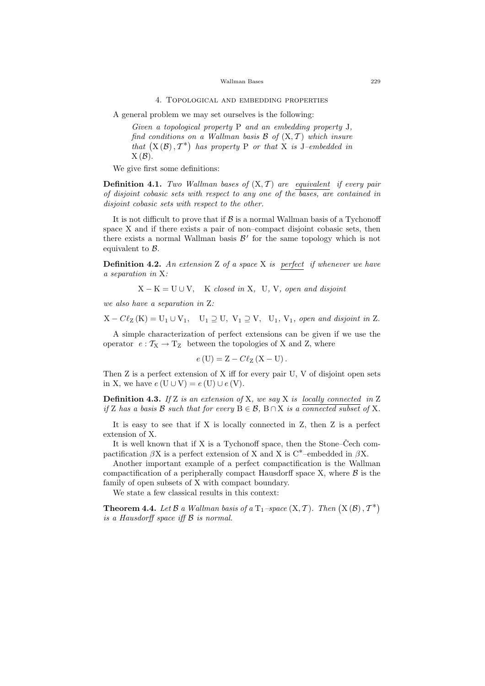#### 4. Topological and embedding properties

A general problem we may set ourselves is the following:

Given a topological property P and an embedding property J, find conditions on a Wallman basis  $\mathcal{B}$  of  $(X, \mathcal{T})$  which insure that  $(X(\mathcal{B}), \mathcal{T}^*)$  has property P or that X is  $\mathcal{J}-\epsilon$ mbedded in  $X(\mathcal{B})$ .

We give first some definitions:

**Definition 4.1.** Two Wallman bases of  $(X, \mathcal{T})$  are equivalent if every pair of disjoint cobasic sets with respect to any one of the bases, are contained in disjoint cobasic sets with respect to the other.

It is not difficult to prove that if  $\mathcal B$  is a normal Wallman basis of a Tychonoff space X and if there exists a pair of non–compact disjoint cobasic sets, then there exists a normal Wallman basis  $\mathcal{B}'$  for the same topology which is not equivalent to B.

**Definition 4.2.** An extension  $Z$  of a space  $X$  is perfect if whenever we have a separation in X:

 $X - K = U \cup V$ , K closed in X, U, V, open and disjoint

we also have a separation in Z:

 $X - Cl_Z(K) = U_1 \cup V_1$ ,  $U_1 \supseteq U$ ,  $V_1 \supseteq V$ ,  $U_1$ ,  $V_1$ , open and disjoint in Z.

A simple characterization of perfect extensions can be given if we use the operator  $e: T_X \to T_Z$  between the topologies of X and Z, where

$$
e(U) = Z - C\ell_Z(X - U).
$$

Then Z is a perfect extension of X iff for every pair U, V of disjoint open sets in X, we have  $e(U \cup V) = e(U) \cup e(V)$ .

**Definition 4.3.** If Z is an extension of X, we say X is locally connected in Z if Z has a basis B such that for every  $B \in \mathcal{B}$ ,  $B \cap X$  is a connected subset of X.

It is easy to see that if X is locally connected in Z, then Z is a perfect extension of X.

It is well known that if X is a Tychonoff space, then the Stone–Čech compactification  $\beta X$  is a perfect extension of X and X is C<sup>\*</sup>–embedded in  $\beta X$ .

Another important example of a perfect compactification is the Wallman compactification of a peripherally compact Hausdorff space  $X$ , where  $\beta$  is the family of open subsets of X with compact boundary.

We state a few classical results in this context:

**Theorem 4.4.** Let  $\mathcal B$  a Wallman basis of a  $T_1$ -space  $(X, \mathcal T)$ . Then  $(X(\mathcal B), \mathcal T^*)$ is a Hausdorff space iff B is normal.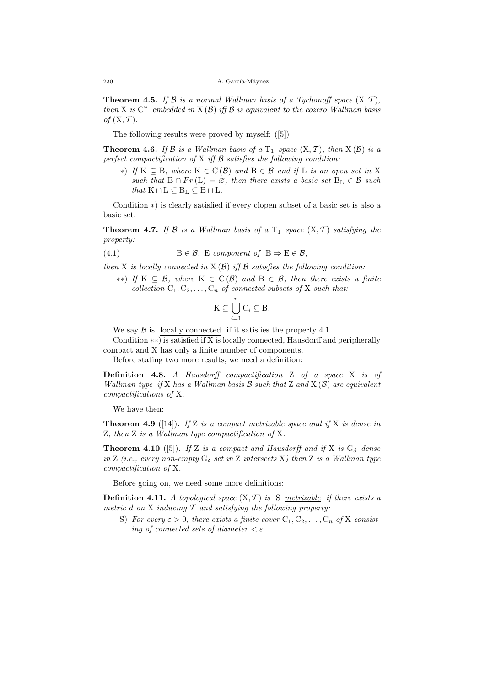#### 230 A. García-Mávnez

**Theorem 4.5.** If B is a normal Wallman basis of a Tychonoff space  $(X, \mathcal{T})$ , then X is  $C^*$ -embedded in X(B) iff B is equivalent to the cozero Wallman basis of  $(X, \mathcal{T})$ .

The following results were proved by myself: ([5])

**Theorem 4.6.** If B is a Wallman basis of a  $T_1$ -space  $(X, \mathcal{T})$ , then  $X(\mathcal{B})$  is a perfect compactification of  $X$  iff  $B$  satisfies the following condition:

∗) If K ⊆ B, where K ∈ C (B) and B ∈ B and if L is an open set in X such that  $B \cap Fr(L) = \emptyset$ , then there exists a basic set  $B_L \in \mathcal{B}$  such that  $K \cap L \subseteq B_L \subseteq B \cap L$ .

Condition ∗) is clearly satisfied if every clopen subset of a basic set is also a basic set.

**Theorem 4.7.** If B is a Wallman basis of a  $T_1$ -space  $(X, \mathcal{T})$  satisfying the property:

(4.1) 
$$
B \in \mathcal{B}, \ E \text{ component of } B \Rightarrow E \in \mathcal{B},
$$

then X is locally connected in  $X(\mathcal{B})$  iff  $\mathcal B$  satisfies the following condition:

 $**$ ) If K  $\subseteq$  B, where K  $\in$  C(B) and B  $\in$  B, then there exists a finite collection  $C_1, C_2, \ldots, C_n$  of connected subsets of X such that:

$$
K \subseteq \bigcup_{i=1}^{n} C_i \subseteq B.
$$

We say  $\beta$  is locally connected if it satisfies the property 4.1.

Condition ∗∗) is satisfied if X is locally connected, Hausdorff and peripherally compact and X has only a finite number of components.

Before stating two more results, we need a definition:

Definition 4.8. A Hausdorff compactification Z of a space X is of Wallman type if X has a Wallman basis  $\mathcal B$  such that Z and X  $(\mathcal B)$  are equivalent compactifications of X.

We have then:

**Theorem 4.9** ([14]). If Z is a compact metrizable space and if X is dense in Z, then Z is a Wallman type compactification of X.

**Theorem 4.10** ([5]). If Z is a compact and Hausdorff and if X is  $G_{\delta}$ -dense in Z (i.e., every non-empty  $G_{\delta}$  set in Z intersects X) then Z is a Wallman type compactification of X.

Before going on, we need some more definitions:

**Definition 4.11.** A topological space  $(X, \mathcal{T})$  is S-metrizable if there exists a metric  $d$  on  $X$  inducing  $T$  and satisfying the following property:

S) For every  $\varepsilon > 0$ , there exists a finite cover  $C_1, C_2, \ldots, C_n$  of X consisting of connected sets of diameter  $\langle \varepsilon \rangle$ .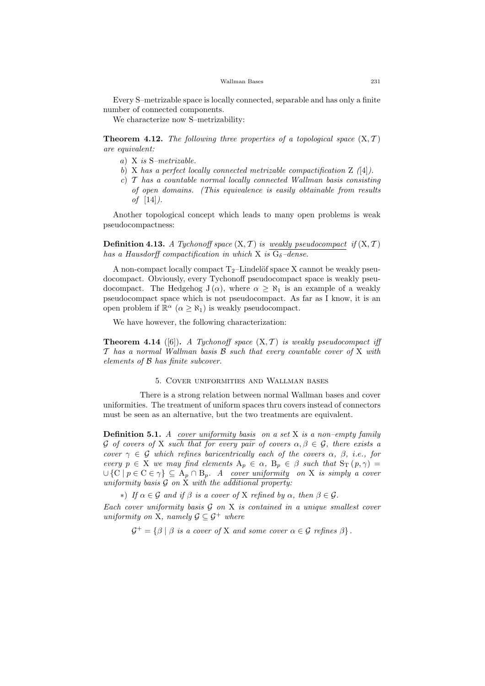Every S–metrizable space is locally connected, separable and has only a finite number of connected components.

We characterize now S–metrizability:

**Theorem 4.12.** The following three properties of a topological space  $(X, \mathcal{T})$ are equivalent:

- a) X is S–metrizable.
- b) X has a perfect locally connected metrizable compactification  $Z \t{4}$ .
- c)  $\mathcal T$  has a countable normal locally connected Wallman basis consisting of open domains. (This equivalence is easily obtainable from results of [14]).

Another topological concept which leads to many open problems is weak pseudocompactness:

**Definition 4.13.** A Tychonoff space  $(X, \mathcal{T})$  is weakly pseudocompact if  $(X, \mathcal{T})$ has a Hausdorff compactification in which X is  $G_{\delta}$ -dense.

A non-compact locally compact  $T_2$ –Lindelöf space X cannot be weakly pseudocompact. Obviously, every Tychonoff pseudocompact space is weakly pseudocompact. The Hedgehog  $J(\alpha)$ , where  $\alpha \geq \aleph_1$  is an example of a weakly pseudocompact space which is not pseudocompact. As far as I know, it is an open problem if  $\mathbb{R}^{\alpha}$   $(\alpha \geq \aleph_1)$  is weakly pseudocompact.

We have however, the following characterization:

**Theorem 4.14** ([6]). A Tychonoff space  $(X, \mathcal{T})$  is weakly pseudocompact iff  $\mathcal T$  has a normal Wallman basis  $\mathcal B$  such that every countable cover of X with elements of B has finite subcover.

### 5. Cover uniformities and Wallman bases

There is a strong relation between normal Wallman bases and cover uniformities. The treatment of uniform spaces thru covers instead of connectors must be seen as an alternative, but the two treatments are equivalent.

**Definition 5.1.** A cover uniformity basis on a set X is a non-empty family G of covers of X such that for every pair of covers  $\alpha, \beta \in \mathcal{G}$ , there exists a cover  $\gamma \in \mathcal{G}$  which refines baricentrically each of the covers  $\alpha$ ,  $\beta$ , i.e., for every  $p \in X$  we may find elements  $A_p \in \alpha$ ,  $B_p \in \beta$  such that  $S_T(p, \gamma) =$  $\cup \{C \mid p \in C \in \gamma\} \subseteq A_p \cap B_p$ . A cover uniformity on X is simply a cover uniformity basis  $G$  on  $\bar{X}$  with the additional property:

∗) If α ∈ G and if β is a cover of X refined by α, then β ∈ G.

Each cover uniformity basis  $G$  on  $X$  is contained in a unique smallest cover uniformity on X, namely  $\mathcal{G} \subseteq \mathcal{G}^+$  where

 $\mathcal{G}^+ = \{\beta \mid \beta \text{ is a cover of X and some cover } \alpha \in \mathcal{G} \text{ refines } \beta \}.$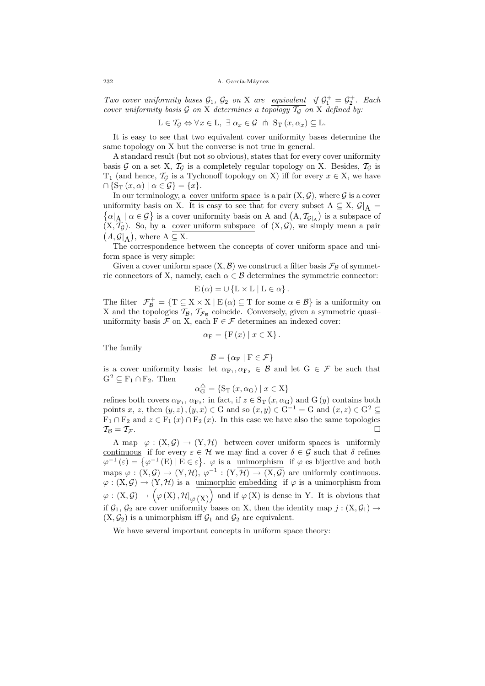Two cover uniformity bases  $\mathcal{G}_1$ ,  $\mathcal{G}_2$  on X are equivalent if  $\mathcal{G}_1^+ = \mathcal{G}_2^+$ . Each cover uniformity basis  $\mathcal G$  on X determines a topology  $\mathcal T_G$  on X defined by:

$$
\mathcal{L}\in\mathcal{T}_{\mathcal{G}}\Leftrightarrow \forall x\in\mathcal{L},\ \exists\ \alpha_x\in\mathcal{G}\ \ \text{in}\ \ \mathcal{S}_{\mathcal{T}}\left(x,\alpha_x\right)\subseteq\mathcal{L}.
$$

It is easy to see that two equivalent cover uniformity bases determine the same topology on X but the converse is not true in general.

A standard result (but not so obvious), states that for every cover uniformity basis G on a set X,  $T<sub>G</sub>$  is a completely regular topology on X. Besides,  $T<sub>G</sub>$  is  $T_1$  (and hence,  $\mathcal{T}_{\mathcal{G}}$  is a Tychonoff topology on X) iff for every  $x \in X$ , we have  $\cap$  {S<sub>T</sub>  $(x, \alpha) \mid \alpha \in \mathcal{G}$ } = {x}.

In our terminology, a cover uniform space is a pair  $(X, \mathcal{G})$ , where  $\mathcal G$  is a cover uniformity basis on X. It is easy to see that for every subset  $A \subseteq X$ ,  $\mathcal{G}|_A =$  $\alpha|_A \mid \alpha \in \mathcal{G}$  is a cover uniformity basis on A and  $(A, \mathcal{T}_{\mathcal{G}|_A})$  is a subspace of  $(X, \mathcal{T}_{\mathcal{G}})$ . So, by a cover uniform subspace of  $(X, \mathcal{G})$ , we simply mean a pair  $(A, \mathcal{G}|_A)$ , where  $A \subseteq X$ .

The correspondence between the concepts of cover uniform space and uniform space is very simple:

Given a cover uniform space  $(X, \mathcal{B})$  we construct a filter basis  $\mathcal{F}_{\mathcal{B}}$  of symmetric connectors of X, namely, each  $\alpha \in \mathcal{B}$  determines the symmetric connector:

$$
E(\alpha) = \cup \{L \times L \mid L \in \alpha\}.
$$

The filter  $\mathcal{F}_{\mathcal{B}}^+ = \{T \subseteq X \times X \mid E(\alpha) \subseteq T \text{ for some } \alpha \in \mathcal{B}\}\$ is a uniformity on X and the topologies  $\mathcal{T}_{\mathcal{B}}$ ,  $\mathcal{T}_{\mathcal{F}_{\mathcal{B}}}$  coincide. Conversely, given a symmetric quasiuniformity basis  $\mathcal F$  on X, each  $F \in \mathcal F$  determines an indexed cover:

$$
\alpha_{\mathcal{F}} = \{ \mathcal{F}(x) \mid x \in \mathcal{X} \}.
$$

The family

$$
\mathcal{B} = \{ \alpha_{\rm F} \mid {\rm F} \in \mathcal{F} \}
$$

is a cover uniformity basis: let  $\alpha_{F_1}, \alpha_{F_2} \in \mathcal{B}$  and let  $G \in \mathcal{F}$  be such that  $G^2 \subseteq F_1 \cap F_2$ . Then

$$
\alpha_{\mathcal{G}}^{\triangle} = \{ \mathcal{S}_{\mathcal{T}} \left( x, \alpha_{\mathcal{G}} \right) \mid x \in \mathcal{X} \}
$$

refines both covers  $\alpha_{F_1}, \alpha_{F_2}$ : in fact, if  $z \in S_T(x, \alpha_G)$  and  $G(y)$  contains both points x, z, then  $(y, z), (y, x) \in G$  and so  $(x, y) \in G^{-1} = G$  and  $(x, z) \in G^2 \subseteq G$  $F_1 \cap F_2$  and  $z \in F_1(x) \cap F_2(x)$ . In this case we have also the same topologies  $\mathcal{T}_{\mathcal{B}} = \mathcal{T}_{\mathcal{F}}.$ 

A map  $\varphi : (X, \mathcal{G}) \to (Y, \mathcal{H})$  between cover uniform spaces is uniformly <u>continuous</u> if for every  $\varepsilon \in \mathcal{H}$  we may find a cover  $\delta \in \mathcal{G}$  such that  $\delta$  refines  $\varphi^{-1}(\varepsilon) = \{ \varphi^{-1}(E) \mid E \in \varepsilon \}.$   $\varphi$  is a unimorphism if  $\varphi$  es bijective and both maps  $\varphi : (X, \mathcal{G}) \to (Y, \mathcal{H}), \varphi^{-1} : (Y, \mathcal{H}) \to (X, \mathcal{G})$  are uniformly continuous.  $\varphi: (X, \mathcal{G}) \to (Y, \mathcal{H})$  is a unimorphic embedding if  $\varphi$  is a unimorphism from  $\varphi: (X, \mathcal{G}) \to (\varphi(X), \mathcal{H}|_{\varphi(X)})$  and if  $\varphi(X)$  is dense in Y. It is obvious that if  $\mathcal{G}_1, \mathcal{G}_2$  are cover uniformity bases on X, then the identity map  $j : (X, \mathcal{G}_1) \rightarrow$  $(X, \mathcal{G}_2)$  is a unimorphism iff  $\mathcal{G}_1$  and  $\mathcal{G}_2$  are equivalent.

We have several important concepts in uniform space theory: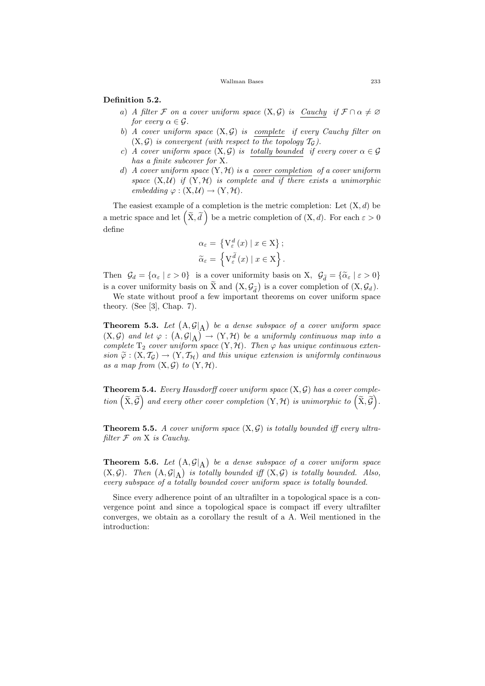#### Wallman Bases 233

### Definition 5.2.

- a) A filter F on a cover uniform space  $(X, \mathcal{G})$  is Cauchy if  $\mathcal{F} \cap \alpha \neq \emptyset$ for every  $\alpha \in \mathcal{G}$ .
- b) A cover uniform space  $(X, \mathcal{G})$  is complete if every Cauchy filter on  $(X, \mathcal{G})$  is convergent (with respect to the topology  $\mathcal{T}_{\mathcal{G}}$ ).
- c) A cover uniform space  $(X, \mathcal{G})$  is totally bounded if every cover  $\alpha \in \mathcal{G}$ has a finite subcover for X.
- d) A cover uniform space  $(Y, \mathcal{H})$  is a cover completion of a cover uniform space  $(X, \mathcal{U})$  if  $(Y, \mathcal{H})$  is complete and if there exists a unimorphic embedding  $\varphi : (X, \mathcal{U}) \to (Y, \mathcal{H}).$

The easiest example of a completion is the metric completion: Let  $(X, d)$  be a metric space and let  $(\tilde{X}, \tilde{d})$  be a metric completion of  $(X, d)$ . For each  $\varepsilon > 0$ define

$$
\alpha_{\varepsilon} = \left\{ \mathcal{V}_{\varepsilon}^{d}(x) \mid x \in \mathcal{X} \right\};
$$
  

$$
\widetilde{\alpha}_{\varepsilon} = \left\{ \mathcal{V}_{\varepsilon}^{\widetilde{d}}(x) \mid x \in \mathcal{X} \right\}.
$$

Then  $\mathcal{G}_d = {\alpha_\varepsilon \mid \varepsilon > 0}$  is a cover uniformity basis on X,  $\mathcal{G}_{\tilde{d}} = {\tilde{\alpha}_\varepsilon \mid \varepsilon > 0}$ is a cover uniformity basis on  $\widetilde{X}$  and  $(X, \mathcal{G}_{\widetilde{d}})$  is a cover completion of  $(X, \mathcal{G}_{d})$ .

We state without proof a few important theorems on cover uniform space theory. (See [3], Chap. 7).

**Theorem 5.3.** Let  $(A, \mathcal{G}|_A)$  be a dense subspace of a cover uniform space  $(X, \mathcal{G})$  and let  $\varphi : (A, \mathcal{G}|_A) \to (Y, \mathcal{H})$  be a uniformly continuous map into a complete  $T_2$  cover uniform space  $(Y, \mathcal{H})$ . Then  $\varphi$  has unique continuous extension  $\tilde{\varphi} : (X, \mathcal{T}_G) \to (Y, \mathcal{T}_H)$  and this unique extension is uniformly continuous as a map from  $(X, \mathcal{G})$  to  $(Y, \mathcal{H})$ .

**Theorem 5.4.** Every Hausdorff cover uniform space  $(X, \mathcal{G})$  has a cover comple- $\vec{p}(\tilde{\mathbf{x}}, \tilde{\mathcal{G}})$  and every other cover completion  $(\mathbf{Y}, \mathcal{H})$  is unimorphic to  $(\tilde{\mathbf{X}}, \tilde{\mathcal{G}})$ .

**Theorem 5.5.** A cover uniform space  $(X, \mathcal{G})$  is totally bounded iff every ultrafilter  $F$  on  $X$  is Cauchy.

**Theorem 5.6.** Let  $(A, \mathcal{G}|_A)$  be a dense subspace of a cover uniform space  $(X, \mathcal{G})$ . Then  $(A, \mathcal{G}|_A)$  is totally bounded iff  $(X, \mathcal{G})$  is totally bounded. Also, every subspace of a totally bounded cover uniform space is totally bounded.

Since every adherence point of an ultrafilter in a topological space is a convergence point and since a topological space is compact iff every ultrafilter converges, we obtain as a corollary the result of a A. Weil mentioned in the introduction: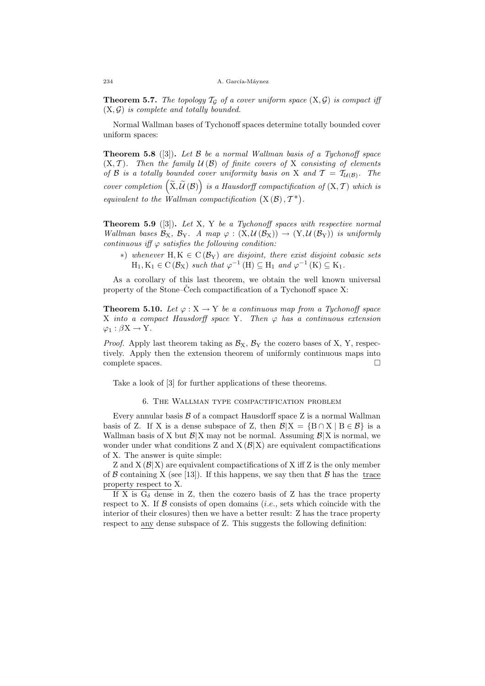**Theorem 5.7.** The topology  $T_G$  of a cover uniform space  $(X, \mathcal{G})$  is compact iff  $(X, \mathcal{G})$  is complete and totally bounded.

Normal Wallman bases of Tychonoff spaces determine totally bounded cover uniform spaces:

**Theorem 5.8** ([3]). Let  $\beta$  be a normal Wallman basis of a Tychonoff space  $(X, \mathcal{T})$ . Then the family  $\mathcal{U}(\mathcal{B})$  of finite covers of X consisting of elements of B is a totally bounded cover uniformity basis on X and  $\mathcal{T} = \mathcal{T}_{\mathcal{U}(\mathcal{B})}$ . The cover completion  $\left(\widetilde{X}, \widetilde{\mathcal{U}}\left(\mathcal{B}\right)\right)$  is a Hausdorff compactification of  $(X, \mathcal{T})$  which is equivalent to the Wallman compactification  $(X(\mathcal{B}), \mathcal{T}^*)$ .

**Theorem 5.9** ([3]). Let X, Y be a Tychonoff spaces with respective normal Wallman bases  $\mathcal{B}_X$ ,  $\mathcal{B}_Y$ . A map  $\varphi : (X, \mathcal{U}(\mathcal{B}_X)) \to (Y, \mathcal{U}(\mathcal{B}_Y))$  is uniformly continuous iff  $\varphi$  satisfies the following condition:

\*) whenever H, K  $\in$  C( $\mathcal{B}_Y$ ) are disjoint, there exist disjoint cobasic sets  $H_1, K_1 \in C(\mathcal{B}_X)$  such that  $\varphi^{-1}(H) \subseteq H_1$  and  $\varphi^{-1}(K) \subseteq K_1$ .

As a corollary of this last theorem, we obtain the well known universal property of the Stone–Čech compactification of a Tychonoff space X:

**Theorem 5.10.** Let  $\varphi: X \to Y$  be a continuous map from a Tychonoff space X into a compact Hausdorff space Y. Then  $\varphi$  has a continuous extension  $\varphi_1 : \beta X \to Y$ .

*Proof.* Apply last theorem taking as  $\mathcal{B}_{X}$ ,  $\mathcal{B}_{Y}$  the cozero bases of X, Y, respectively. Apply then the extension theorem of uniformly continuous maps into complete spaces.  $\Box$ 

Take a look of [3] for further applications of these theorems.

### 6. The Wallman type compactification problem

Every annular basis  $\beta$  of a compact Hausdorff space Z is a normal Wallman basis of Z. If X is a dense subspace of Z, then  $\mathcal{B}|X = \{B \cap X \mid B \in \mathcal{B}\}\)$  is a Wallman basis of X but  $\mathcal{B}|X|$  may not be normal. Assuming  $\mathcal{B}|X|$  is normal, we wonder under what conditions Z and  $X(\mathcal{B}|X)$  are equivalent compactifications of X. The answer is quite simple:

Z and  $X(\mathcal{B}|X)$  are equivalent compactifications of X iff Z is the only member of B containing X (see [13]). If this happens, we say then that B has the trace property respect to X.

If X is  $G_{\delta}$  dense in Z, then the cozero basis of Z has the trace property respect to X. If  $\beta$  consists of open domains *(i.e., sets which coincide with the* interior of their closures) then we have a better result: Z has the trace property respect to any dense subspace of Z. This suggests the following definition: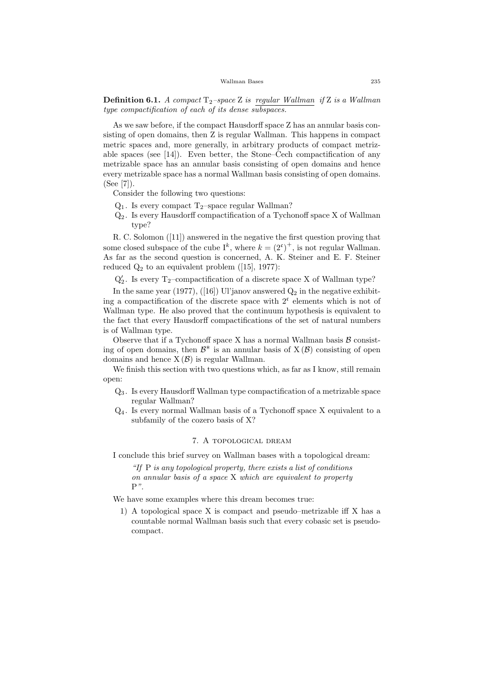**Definition 6.1.** A compact  $T_2$ –space Z is regular Wallman if Z is a Wallman type compactification of each of its dense subspaces.

As we saw before, if the compact Hausdorff space Z has an annular basis consisting of open domains, then Z is regular Wallman. This happens in compact metric spaces and, more generally, in arbitrary products of compact metrizable spaces (see [14]). Even better, the Stone–Čech compactification of any metrizable space has an annular basis consisting of open domains and hence every metrizable space has a normal Wallman basis consisting of open domains. (See [7]).

Consider the following two questions:

- $Q_1$ . Is every compact T<sub>2</sub>–space regular Wallman?
- Q<sup>2</sup> . Is every Hausdorff compactification of a Tychonoff space X of Wallman type?

R. C. Solomon ([11]) answered in the negative the first question proving that some closed subspace of the cube  $I^k$ , where  $k = (2^c)^+$ , is not regular Wallman. As far as the second question is concerned, A. K. Steiner and E. F. Steiner reduced  $Q_2$  to an equivalent problem ([15], 1977):

 $\mathbf{Q}'_2$  . Is every T<sub>2</sub>–compactification of a discrete space X of Wallman type?

In the same year (1977), ([16]) Ul'janov answered  $Q_2$  in the negative exhibiting a compactification of the discrete space with  $2<sup>c</sup>$  elements which is not of Wallman type. He also proved that the continuum hypothesis is equivalent to the fact that every Hausdorff compactifications of the set of natural numbers is of Wallman type.

Observe that if a Tychonoff space X has a normal Wallman basis  $\beta$  consisting of open domains, then  $\mathcal{B}^*$  is an annular basis of  $X(\mathcal{B})$  consisting of open domains and hence  $X(\mathcal{B})$  is regular Wallman.

We finish this section with two questions which, as far as I know, still remain open:

- Q<sup>3</sup> . Is every Hausdorff Wallman type compactification of a metrizable space regular Wallman?
- Q<sup>4</sup> . Is every normal Wallman basis of a Tychonoff space X equivalent to a subfamily of the cozero basis of X?

### 7. A topological dream

I conclude this brief survey on Wallman bases with a topological dream:

"If  $P$  is any topological property, there exists a list of conditions on annular basis of a space X which are equivalent to property  $P$ ".

We have some examples where this dream becomes true:

1) A topological space X is compact and pseudo–metrizable iff X has a countable normal Wallman basis such that every cobasic set is pseudocompact.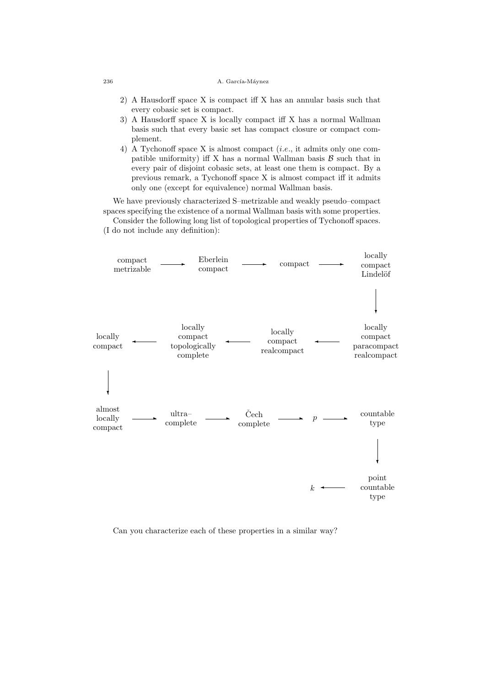### 236 A. García-Máynez

- 2) A Hausdorff space X is compact iff X has an annular basis such that every cobasic set is compact.
- 3) A Hausdorff space X is locally compact iff X has a normal Wallman basis such that every basic set has compact closure or compact complement.
- 4) A Tychonoff space X is almost compact (i.e., it admits only one compatible uniformity) iff X has a normal Wallman basis  $\beta$  such that in every pair of disjoint cobasic sets, at least one them is compact. By a previous remark, a Tychonoff space X is almost compact iff it admits only one (except for equivalence) normal Wallman basis.

We have previously characterized S–metrizable and weakly pseudo–compact spaces specifying the existence of a normal Wallman basis with some properties.

Consider the following long list of topological properties of Tychonoff spaces. (I do not include any definition):



Can you characterize each of these properties in a similar way?